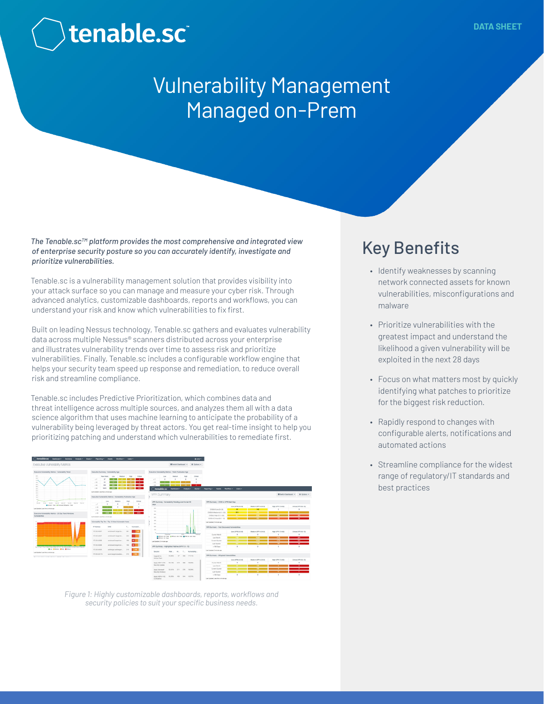# tenable.sc

# Vulnerability Management Managed on-Prem

*The Tenable.scTM platform provides the most comprehensive and integrated view of enterprise security posture so you can accurately identify, investigate and prioritize vulnerabilities.*

Tenable.sc is a vulnerability management solution that provides visibility into your attack surface so you can manage and measure your cyber risk. Through advanced analytics, customizable dashboards, reports and workflows, you can understand your risk and know which vulnerabilities to fix first.

Built on leading Nessus technology, Tenable.sc gathers and evaluates vulnerability data across multiple Nessus® scanners distributed across your enterprise and illustrates vulnerability trends over time to assess risk and prioritize vulnerabilities. Finally, Tenable.sc includes a configurable workflow engine that helps your security team speed up response and remediation, to reduce overall risk and streamline compliance.

Tenable.sc includes Predictive Prioritization, which combines data and threat intelligence across multiple sources, and analyzes them all with a data science algorithm that uses machine learning to anticipate the probability of a vulnerability being leveraged by threat actors. You get real-time insight to help you prioritizing patching and understand which vulnerabilities to remediate first.



*Figure 1: Highly customizable dashboards, reports, workflows and security policies to suit your specific business needs.*

#### Key Benefits

- Identify weaknesses by scanning network connected assets for known vulnerabilities, misconfigurations and malware
- Prioritize vulnerabilities with the greatest impact and understand the likelihood a given vulnerability will be exploited in the next 28 days
- Focus on what matters most by quickly identifying what patches to prioritize for the biggest risk reduction.
- Rapidly respond to changes with configurable alerts, notifications and automated actions
- Streamline compliance for the widest range of regulatory/IT standards and best practices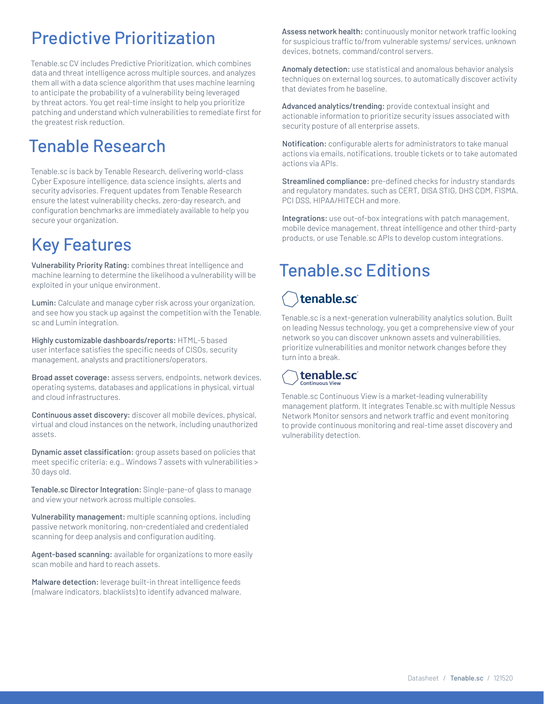## Predictive Prioritization

Tenable.sc CV includes Predictive Prioritization, which combines data and threat intelligence across multiple sources, and analyzes them all with a data science algorithm that uses machine learning to anticipate the probability of a vulnerability being leveraged by threat actors. You get real-time insight to help you prioritize patching and understand which vulnerabilities to remediate first for the greatest risk reduction.

#### Tenable Research

Tenable.sc is back by Tenable Research, delivering world-class Cyber Exposure intelligence, data science insights, alerts and security advisories. Frequent updates from Tenable Research ensure the latest vulnerability checks, zero-day research, and configuration benchmarks are immediately available to help you secure your organization.

# Key Features

Vulnerability Priority Rating: combines threat intelligence and machine learning to determine the likelihood a vulnerability will be exploited in your unique environment.

Lumin: Calculate and manage cyber risk across your organization, and see how you stack up against the competition with the Tenable. sc and Lumin integration.

Highly customizable dashboards/reports: HTML-5 based user interface satisfies the specific needs of CISOs, security management, analysts and practitioners/operators.

Broad asset coverage: assess servers, endpoints, network devices, operating systems, databases and applications in physical, virtual and cloud infrastructures.

Continuous asset discovery: discover all mobile devices, physical, virtual and cloud instances on the network, including unauthorized assets.

Dynamic asset classification: group assets based on policies that meet specific criteria: e.g., Windows 7 assets with vulnerabilities > 30 days old.

Tenable.sc Director Integration: Single-pane-of glass to manage and view your network across multiple consoles.

Vulnerability management: multiple scanning options, including passive network monitoring, non-credentialed and credentialed scanning for deep analysis and configuration auditing.

Agent-based scanning: available for organizations to more easily scan mobile and hard to reach assets.

Malware detection: leverage built-in threat intelligence feeds (malware indicators, blacklists) to identify advanced malware. Assess network health: continuously monitor network traffic looking for suspicious traffic to/from vulnerable systems/ services, unknown devices, botnets, command/control servers.

Anomaly detection: use statistical and anomalous behavior analysis techniques on external log sources, to automatically discover activity that deviates from he baseline.

Advanced analytics/trending: provide contextual insight and actionable information to prioritize security issues associated with security posture of all enterprise assets.

Notification: configurable alerts for administrators to take manual actions via emails, notifications, trouble tickets or to take automated actions via APIs.

Streamlined compliance: pre-defined checks for industry standards and regulatory mandates, such as CERT, DISA STIG, DHS CDM, FISMA, PCI DSS, HIPAA/HITECH and more.

Integrations: use out-of-box integrations with patch management, mobile device management, threat intelligence and other third-party products, or use Tenable.sc APIs to develop custom integrations.

### Tenable.sc Editions

#### tenable.sc<sup>®</sup>

Tenable.sc is a next-generation vulnerability analytics solution. Built on leading Nessus technology, you get a comprehensive view of your network so you can discover unknown assets and vulnerabilities, prioritize vulnerabilities and monitor network changes before they turn into a break.



Tenable.sc Continuous View is a market-leading vulnerability management platform. It integrates Tenable.sc with multiple Nessus Network Monitor sensors and network traffic and event monitoring to provide continuous monitoring and real-time asset discovery and vulnerability detection.